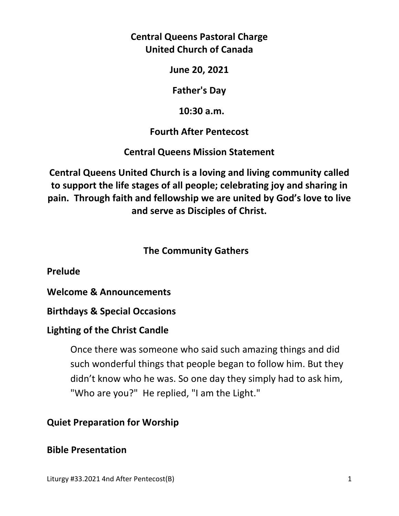## **Central Queens Pastoral Charge United Church of Canada**

**June 20, 2021** 

**Father's Day** 

 **10:30 a.m.** 

**Fourth After Pentecost** 

**Central Queens Mission Statement** 

**Central Queens United Church is a loving and living community called to support the life stages of all people; celebrating joy and sharing in pain. Through faith and fellowship we are united by God's love to live and serve as Disciples of Christ.**

## **The Community Gathers**

**Prelude** 

**Welcome & Announcements** 

**Birthdays & Special Occasions** 

## **Lighting of the Christ Candle**

Once there was someone who said such amazing things and did such wonderful things that people began to follow him. But they didn't know who he was. So one day they simply had to ask him, "Who are you?" He replied, "I am the Light."

# **Quiet Preparation for Worship**

## **Bible Presentation**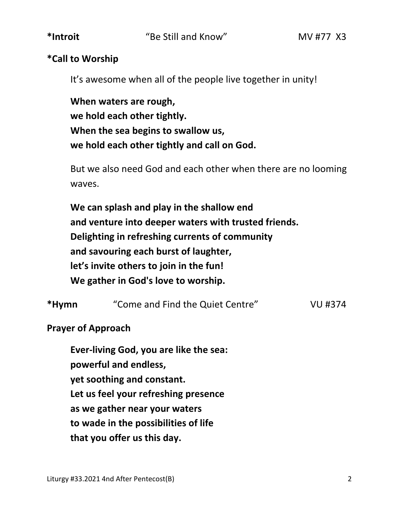#### **\*Call to Worship**

It's awesome when all of the people live together in unity!

 **When waters are rough, we hold each other tightly. When the sea begins to swallow us, we hold each other tightly and call on God.**

 But we also need God and each other when there are no looming waves.

 **We can splash and play in the shallow end and venture into deeper waters with trusted friends. Delighting in refreshing currents of community and savouring each burst of laughter, let's invite others to join in the fun! We gather in God's love to worship.** 

**\*Hymn** "Come and Find the Quiet Centre" VU #374

## **Prayer of Approach**

 **Ever-living God, you are like the sea: powerful and endless, yet soothing and constant. Let us feel your refreshing presence as we gather near your waters to wade in the possibilities of life that you offer us this day.**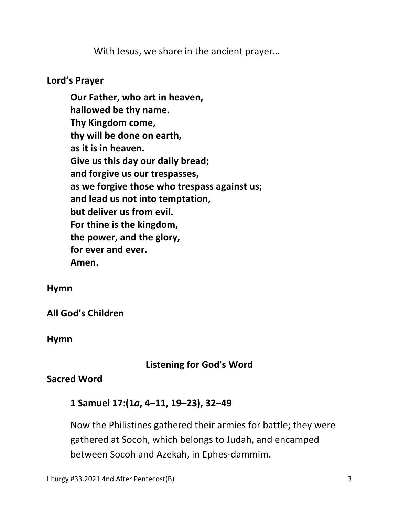With Jesus, we share in the ancient prayer…

#### **Lord's Prayer**

**Our Father, who art in heaven, hallowed be thy name. Thy Kingdom come, thy will be done on earth, as it is in heaven. Give us this day our daily bread; and forgive us our trespasses, as we forgive those who trespass against us; and lead us not into temptation, but deliver us from evil. For thine is the kingdom, the power, and the glory, for ever and ever. Amen.** 

#### **Hymn**

**All God's Children**

**Hymn** 

## **Listening for God's Word**

#### **Sacred Word**

#### **1 Samuel 17:(1***a***, 4–11, 19–23), 32–49**

 Now the Philistines gathered their armies for battle; they were gathered at Socoh, which belongs to Judah, and encamped between Socoh and Azekah, in Ephes-dammim.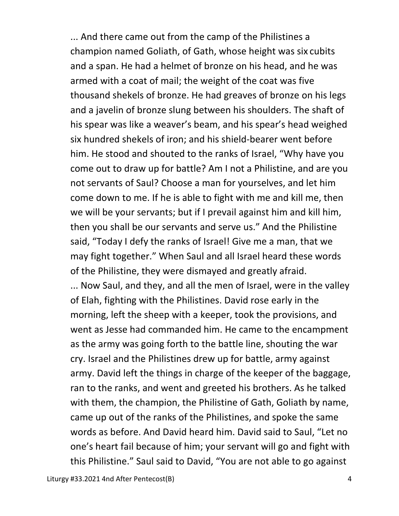... And there came out from the camp of the Philistines a champion named Goliath, of Gath, whose height was six cubits and a span. He had a helmet of bronze on his head, and he was armed with a coat of mail; the weight of the coat was five thousand shekels of bronze. He had greaves of bronze on his legs and a javelin of bronze slung between his shoulders. The shaft of his spear was like a weaver's beam, and his spear's head weighed six hundred shekels of iron; and his shield-bearer went before him. He stood and shouted to the ranks of Israel, "Why have you come out to draw up for battle? Am I not a Philistine, and are you not servants of Saul? Choose a man for yourselves, and let him come down to me. If he is able to fight with me and kill me, then we will be your servants; but if I prevail against him and kill him, then you shall be our servants and serve us." And the Philistine said, "Today I defy the ranks of Israel! Give me a man, that we may fight together." When Saul and all Israel heard these words of the Philistine, they were dismayed and greatly afraid. ... Now Saul, and they, and all the men of Israel, were in the valley of Elah, fighting with the Philistines. David rose early in the morning, left the sheep with a keeper, took the provisions, and went as Jesse had commanded him. He came to the encampment as the army was going forth to the battle line, shouting the war cry. Israel and the Philistines drew up for battle, army against army. David left the things in charge of the keeper of the baggage, ran to the ranks, and went and greeted his brothers. As he talked with them, the champion, the Philistine of Gath, Goliath by name, came up out of the ranks of the Philistines, and spoke the same words as before. And David heard him. David said to Saul, "Let no one's heart fail because of him; your servant will go and fight with this Philistine." Saul said to David, "You are not able to go against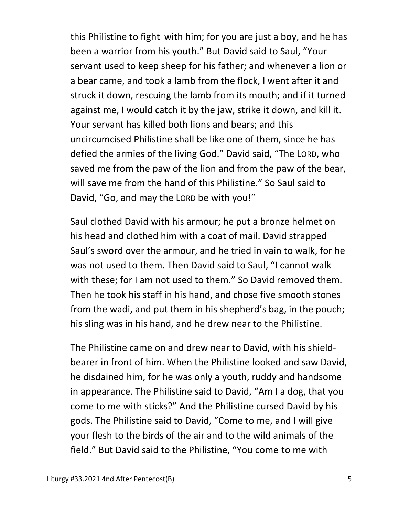this Philistine to fight with him; for you are just a boy, and he has been a warrior from his youth." But David said to Saul, "Your servant used to keep sheep for his father; and whenever a lion or a bear came, and took a lamb from the flock, I went after it and struck it down, rescuing the lamb from its mouth; and if it turned against me, I would catch it by the jaw, strike it down, and kill it. Your servant has killed both lions and bears; and this uncircumcised Philistine shall be like one of them, since he has defied the armies of the living God." David said, "The LORD, who saved me from the paw of the lion and from the paw of the bear, will save me from the hand of this Philistine." So Saul said to David, "Go, and may the LORD be with you!"

Saul clothed David with his armour; he put a bronze helmet on his head and clothed him with a coat of mail. David strapped Saul's sword over the armour, and he tried in vain to walk, for he was not used to them. Then David said to Saul, "I cannot walk with these; for I am not used to them." So David removed them. Then he took his staff in his hand, and chose five smooth stones from the wadi, and put them in his shepherd's bag, in the pouch; his sling was in his hand, and he drew near to the Philistine.

The Philistine came on and drew near to David, with his shieldbearer in front of him. When the Philistine looked and saw David, he disdained him, for he was only a youth, ruddy and handsome in appearance. The Philistine said to David, "Am I a dog, that you come to me with sticks?" And the Philistine cursed David by his gods. The Philistine said to David, "Come to me, and I will give your flesh to the birds of the air and to the wild animals of the field." But David said to the Philistine, "You come to me with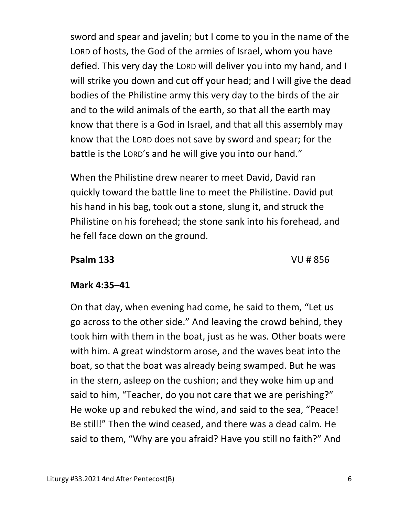sword and spear and javelin; but I come to you in the name of the LORD of hosts, the God of the armies of Israel, whom you have defied. This very day the LORD will deliver you into my hand, and I will strike you down and cut off your head; and I will give the dead bodies of the Philistine army this very day to the birds of the air and to the wild animals of the earth, so that all the earth may know that there is a God in Israel, and that all this assembly may know that the LORD does not save by sword and spear; for the battle is the LORD's and he will give you into our hand."

When the Philistine drew nearer to meet David, David ran quickly toward the battle line to meet the Philistine. David put his hand in his bag, took out a stone, slung it, and struck the Philistine on his forehead; the stone sank into his forehead, and he fell face down on the ground.

#### **Psalm 133** VU # 856

## **Mark 4:35–41**

On that day, when evening had come, he said to them, "Let us go across to the other side." And leaving the crowd behind, they took him with them in the boat, just as he was. Other boats were with him. A great windstorm arose, and the waves beat into the boat, so that the boat was already being swamped. But he was in the stern, asleep on the cushion; and they woke him up and said to him, "Teacher, do you not care that we are perishing?" He woke up and rebuked the wind, and said to the sea, "Peace! Be still!" Then the wind ceased, and there was a dead calm. He said to them, "Why are you afraid? Have you still no faith?" And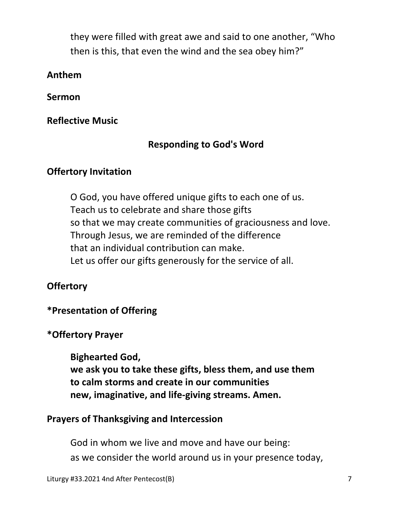they were filled with great awe and said to one another, "Who then is this, that even the wind and the sea obey him?"

#### **Anthem**

**Sermon** 

**Reflective Music** 

# **Responding to God's Word**

## **Offertory Invitation**

 O God, you have offered unique gifts to each one of us. Teach us to celebrate and share those gifts so that we may create communities of graciousness and love. Through Jesus, we are reminded of the difference that an individual contribution can make. Let us offer our gifts generously for the service of all.

# **Offertory**

## **\*Presentation of Offering**

## **\*Offertory Prayer**

**Bighearted God,** 

 **we ask you to take these gifts, bless them, and use them to calm storms and create in our communities new, imaginative, and life-giving streams. Amen.** 

## **Prayers of Thanksgiving and Intercession**

 God in whom we live and move and have our being: as we consider the world around us in your presence today,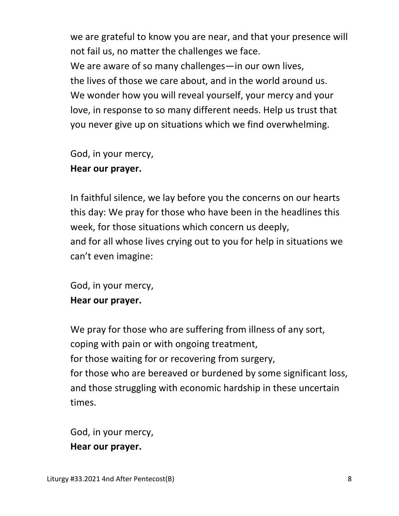we are grateful to know you are near, and that your presence will not fail us, no matter the challenges we face. We are aware of so many challenges—in our own lives, the lives of those we care about, and in the world around us. We wonder how you will reveal yourself, your mercy and your love, in response to so many different needs. Help us trust that you never give up on situations which we find overwhelming.

God, in your mercy,

## **Hear our prayer.**

 In faithful silence, we lay before you the concerns on our hearts this day: We pray for those who have been in the headlines this week, for those situations which concern us deeply, and for all whose lives crying out to you for help in situations we can't even imagine:

 God, in your mercy,  **Hear our prayer.** 

We pray for those who are suffering from illness of any sort, coping with pain or with ongoing treatment, for those waiting for or recovering from surgery, for those who are bereaved or burdened by some significant loss, and those struggling with economic hardship in these uncertain times.

 God, in your mercy,  **Hear our prayer.**